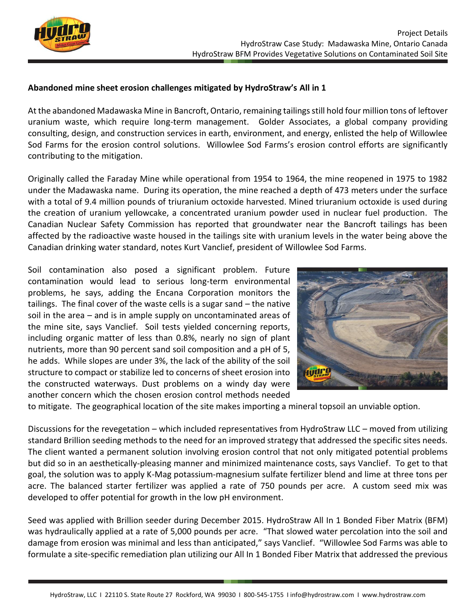

## **Abandoned mine sheet erosion challenges mitigated by HydroStraw's All in 1**

At the abandoned Madawaska Mine in Bancroft, Ontario, remaining tailings still hold four million tons of leftover uranium waste, which require long-term management. Golder Associates, a global company providing consulting, design, and construction services in earth, environment, and energy, enlisted the help of Willowlee Sod Farms for the erosion control solutions. Willowlee Sod Farms's erosion control efforts are significantly contributing to the mitigation.

Originally called the Faraday Mine while operational from 1954 to 1964, the mine reopened in 1975 to 1982 under the Madawaska name. During its operation, the mine reached a depth of 473 meters under the surface with a total of 9.4 million pounds of triuranium octoxide harvested. Mined triuranium octoxide is used during the creation of uranium yellowcake, a concentrated uranium powder used in nuclear fuel production. The Canadian Nuclear Safety Commission has reported that groundwater near the Bancroft tailings has been affected by the radioactive waste housed in the tailings site with uranium levels in the water being above the Canadian drinking water standard, notes Kurt Vanclief, president of Willowlee Sod Farms.

Soil contamination also posed a significant problem. Future contamination would lead to serious long-term environmental problems, he says, adding the Encana Corporation monitors the tailings. The final cover of the waste cells is a sugar sand – the native soil in the area – and is in ample supply on uncontaminated areas of the mine site, says Vanclief. Soil tests yielded concerning reports, including organic matter of less than 0.8%, nearly no sign of plant nutrients, more than 90 percent sand soil composition and a pH of 5, he adds. While slopes are under 3%, the lack of the ability of the soil structure to compact or stabilize led to concerns of sheet erosion into the constructed waterways. Dust problems on a windy day were another concern which the chosen erosion control methods needed



to mitigate. The geographical location of the site makes importing a mineral topsoil an unviable option.

Discussions for the revegetation – which included representatives from HydroStraw LLC – moved from utilizing standard Brillion seeding methods to the need for an improved strategy that addressed the specific sites needs. The client wanted a permanent solution involving erosion control that not only mitigated potential problems but did so in an aesthetically-pleasing manner and minimized maintenance costs, says Vanclief. To get to that goal, the solution was to apply K-Mag potassium-magnesium sulfate fertilizer blend and lime at three tons per acre. The balanced starter fertilizer was applied a rate of 750 pounds per acre. A custom seed mix was developed to offer potential for growth in the low pH environment.

Seed was applied with Brillion seeder during December 2015. HydroStraw All In 1 Bonded Fiber Matrix (BFM) was hydraulically applied at a rate of 5,000 pounds per acre. "That slowed water percolation into the soil and damage from erosion was minimal and less than anticipated," says Vanclief. "Willowlee Sod Farms was able to formulate a site-specific remediation plan utilizing our All In 1 Bonded Fiber Matrix that addressed the previous